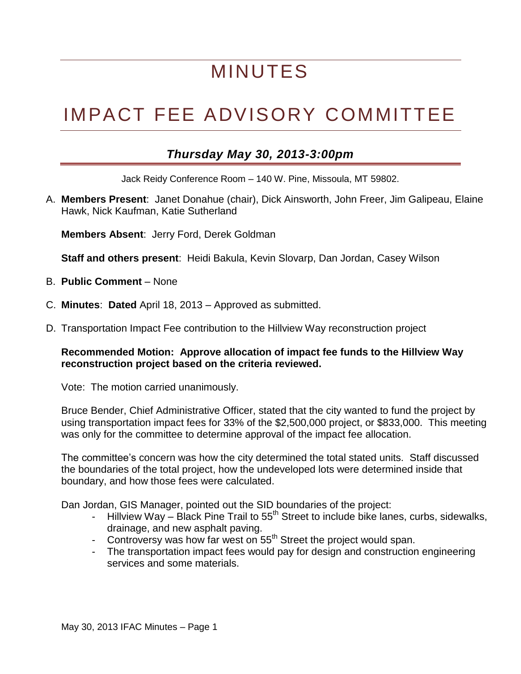# MINUTES

# IMPACT FEE ADVISORY COMMITTEE

## *Thursday May 30, 2013-3:00pm*

Jack Reidy Conference Room – 140 W. Pine, Missoula, MT 59802.

A. **Members Present**: Janet Donahue (chair), Dick Ainsworth, John Freer, Jim Galipeau, Elaine Hawk, Nick Kaufman, Katie Sutherland

**Members Absent**: Jerry Ford, Derek Goldman

**Staff and others present**: Heidi Bakula, Kevin Slovarp, Dan Jordan, Casey Wilson

- B. **Public Comment** None
- C. **Minutes**: **Dated** April 18, 2013 Approved as submitted.
- D. Transportation Impact Fee contribution to the Hillview Way reconstruction project

### **Recommended Motion: Approve allocation of impact fee funds to the Hillview Way reconstruction project based on the criteria reviewed.**

Vote: The motion carried unanimously.

Bruce Bender, Chief Administrative Officer, stated that the city wanted to fund the project by using transportation impact fees for 33% of the \$2,500,000 project, or \$833,000. This meeting was only for the committee to determine approval of the impact fee allocation.

The committee's concern was how the city determined the total stated units. Staff discussed the boundaries of the total project, how the undeveloped lots were determined inside that boundary, and how those fees were calculated.

Dan Jordan, GIS Manager, pointed out the SID boundaries of the project:

- Hillview Way Black Pine Trail to  $55<sup>th</sup>$  Street to include bike lanes, curbs, sidewalks, drainage, and new asphalt paving.
- Controversy was how far west on  $55<sup>th</sup>$  Street the project would span.
- The transportation impact fees would pay for design and construction engineering services and some materials.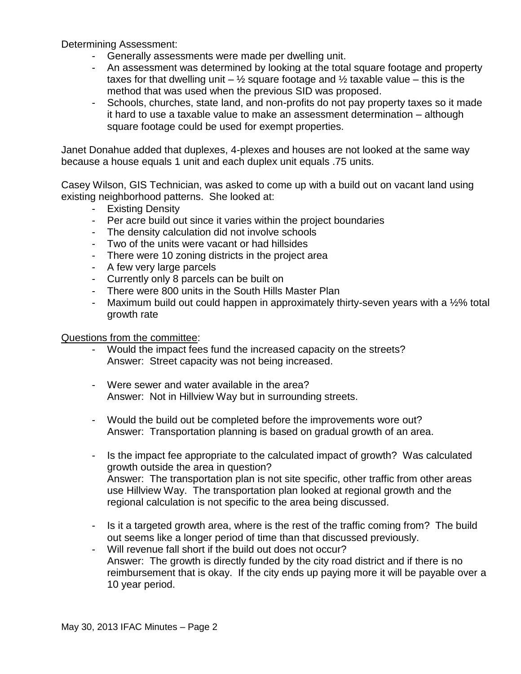Determining Assessment:

- Generally assessments were made per dwelling unit.
- An assessment was determined by looking at the total square footage and property taxes for that dwelling unit –  $\frac{1}{2}$  square footage and  $\frac{1}{2}$  taxable value – this is the method that was used when the previous SID was proposed.
- Schools, churches, state land, and non-profits do not pay property taxes so it made it hard to use a taxable value to make an assessment determination – although square footage could be used for exempt properties.

Janet Donahue added that duplexes, 4-plexes and houses are not looked at the same way because a house equals 1 unit and each duplex unit equals .75 units.

Casey Wilson, GIS Technician, was asked to come up with a build out on vacant land using existing neighborhood patterns. She looked at:

- Existing Density
- Per acre build out since it varies within the project boundaries
- The density calculation did not involve schools
- Two of the units were vacant or had hillsides
- There were 10 zoning districts in the project area
- A few very large parcels
- Currently only 8 parcels can be built on
- There were 800 units in the South Hills Master Plan
- Maximum build out could happen in approximately thirty-seven years with a ½% total growth rate

### Questions from the committee:

- Would the impact fees fund the increased capacity on the streets? Answer: Street capacity was not being increased.
- Were sewer and water available in the area? Answer: Not in Hillview Way but in surrounding streets.
- Would the build out be completed before the improvements wore out? Answer: Transportation planning is based on gradual growth of an area.
- Is the impact fee appropriate to the calculated impact of growth? Was calculated growth outside the area in question? Answer: The transportation plan is not site specific, other traffic from other areas use Hillview Way. The transportation plan looked at regional growth and the regional calculation is not specific to the area being discussed.
- Is it a targeted growth area, where is the rest of the traffic coming from? The build out seems like a longer period of time than that discussed previously.
- Will revenue fall short if the build out does not occur? Answer: The growth is directly funded by the city road district and if there is no reimbursement that is okay. If the city ends up paying more it will be payable over a 10 year period.